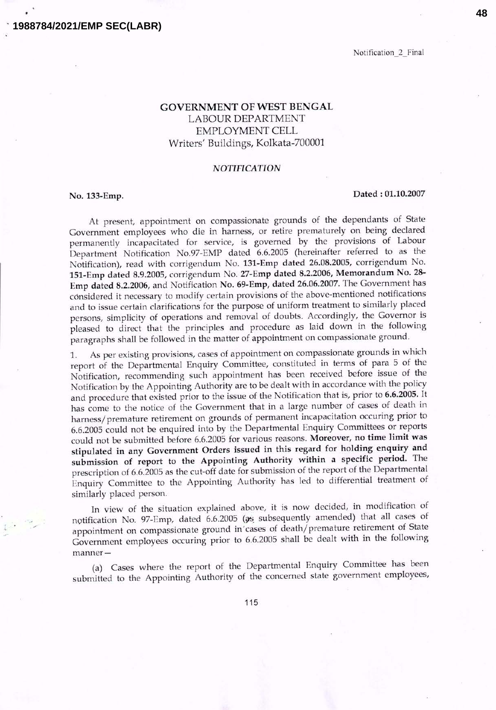### **1988784/2021/EMP SEC(LABR)**

Notification 2 Final

# GOVERNMENT OF WEST BENGAL LABOUR DEPARTMENT EMPLOYMENT CELL Writers' Buildings, Kolkata-700001

#### *NOTIFICATION*

## No. 133-Emp. Dated: 01.10.2007

At present, appointment on compassionate grounds of the dependants of State Government employees who die in harness, or retire prematurely on being declared permanently incapacitated for service, is governed by the provisions of Labour Department Notification No.97-EMP dated 6.6.2005 (hereinafter referred to as the Notification), read with corrigendum No. 131-Emp dated 26.08.200S, corrigendum No. lSl-Emp dated 8.9.200S, corrigendum No. 27-Emp dated 8.2.2006, Memorandum No. 28- Emp dated 8.2.2006, and Notification No. 69-Emp, dated 26.06.2007. The Government has considered it necessary to modify certain provisions of the above-mentioned notifications and to issue certain clarifications for the purpose of uniform treatment to similarly placed persons, simplicity of operations and removal of doubts. Accordingly, the Governor is pleased to direct that the principles and procedure as laid down in the following paragraphs shall be followed in the matter of appointment on compassionate ground.

1. As per existing provisions, cases of appointment on compassionate grounds in which report of the Departmental Enquiry Committee, constituted in terms of para 5 of the Notification, recommending such appointment has been received before issue of the Notification by the Appointing Authority are to be dealt with in accordance with the policy and procedure that existed prior to the issue of the Notification that is, prior to 6.6.200S. It has come to the notice of the Government that in a large number of cases of death in harness/premature retirement on grounds of permanent incapacitation occuring prior to 6.6.2005 could not be enquired into by the Departmental Enquiry Committees or reports could not be submitted before 6.6.2005 for various reasons. Moreover, no time limit was stipulated in any Government Orders issued in this regard for holding enquiry and submission of report to the Appointing Authority within a specific period. The prescription of 6.6.2005 as the cut-off date for submission of the report of the Departmental Enquiry Committee to the Appointing Authority has led to differential treatment of similarly placed person.

In view of the situation explained above, it is now decided, in modification of notification No. 97-Emp, dated  $6.6.2005$  ( $\sigma s$  subsequently amended) that all cases of appointment on compassionate ground in' cases of death/ premature retirement of State Government employees occuring prior to 6.6.2005 shall be dealt with in the following manner-

(a) Cases where the report of the Departmental Enquiry Committee has been submitted to the Appointing Authority of the concerned state government employees,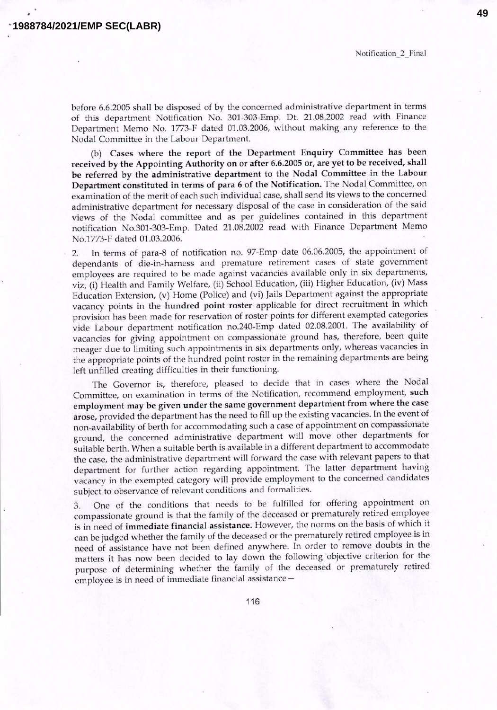Notification 2 Final

before 6.6.2005 shall be disposed of by the concerned administrative department in terms of this department Notification No. 301-303-Emp. Dt. 21.08.2002 read with Finance Department Memo No. 1773-F dated 01.03.2006, without making any reference to the Nodal Committee in the Labour Department.

(b) Cases where the report of the Department Enquiry Committee has been received by the Appointing Authority on or after 6.6.2005 or, are yet to be received, shall be referred by the administrative department to the Nodal Committee in the Labour Department constituted in terms of para 6 of the Notification. The Nodal Committee, on examination of the merit of each such individual case, shall send its views to the concerned administrative department for necessary disposal of the case in consideration of the said views of the Nodal committee and as per guidelines contained in this department notification No.301-303-Emp. Dated 21.08.2002 read with Finance Department Memo No.1773-F dated 01.03.2006.

2. In terms of para-8 of notification no. 97-Emp date 06.06.2005, the appointment of dependants of die-in-harness and premature retirement cases of state government employees are required to be made against vacancies available only in six departments, viz, (i) Health and Family Welfare, (ii) School Education, (iii) Higher Education, (iv) Mass Education Extension, (v) Home (Police) and (vi) Jails Department against the appropriate vacancy points in the hundred point roster applicable for direct recruitment in which provision has been made for reservation of roster points for different exempted categories vide Labour department notification no.240-Emp dated 02.08.2001. The availability of vacancies for giving appointment on compassionate ground has, therefore, been quite meager due to limiting such appointments in six departments only, whereas vacancies in the appropriate points of the hundred point roster in the remaining departments are being left unfilled creating difficulties in their functioning.

The Governor is, therefore, pleased to decide that in cases where the Nodal Committee, on examination in terms of the Notification, recommend employment, such employment may be given under the same government department from where the case arose, provided the department has the need to fill up the existing vacancies. In the event of non-availability of berth for accommodating such a case of appointment on compassionate ground, the concerned administrative department will move other departments for suitable berth. When a suitable berth is available in a different department to accommodate the case, the administrative department will forward the case with relevant papers to that department for further action regarding appointment. The latter department having vacancy in the exempted category will provide employment to the concerned candidates subject to observance of relevant conditions and formalities.

3. One of the conditions that needs to be fulfilled for offering appointment on compassionate ground is that the family of the deceased or prematurely retired employee is in need of immediate financial assistance. However, the norms on the basis of which it can be judged whether the family of the deceased or the prematurely retired employee is in need of assistance have not been defined anywhere. In order to remove doubts in the matters it has now been decided to lay down the following objective criterion for the purpose of determining whether the family of the deceased or prematurely retired employee is in need of immediate financial assistance-

116